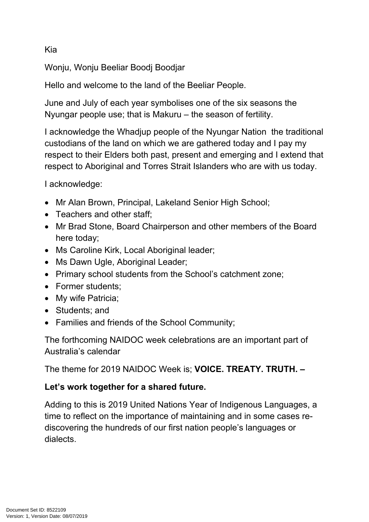## Kia

Wonju, Wonju Beeliar Boodj Boodjar

Hello and welcome to the land of the Beeliar People.

June and July of each year symbolises one of the six seasons the Nyungar people use; that is Makuru – the season of fertility.

I acknowledge the Whadjup people of the Nyungar Nation the traditional custodians of the land on which we are gathered today and I pay my respect to their Elders both past, present and emerging and I extend that respect to Aboriginal and Torres Strait Islanders who are with us today.

I acknowledge:

- Mr Alan Brown, Principal, Lakeland Senior High School;
- Teachers and other staff:
- Mr Brad Stone, Board Chairperson and other members of the Board here today;
- Ms Caroline Kirk, Local Aboriginal leader;
- Ms Dawn Ugle, Aboriginal Leader;
- Primary school students from the School's catchment zone;
- Former students;
- My wife Patricia;
- Students; and
- Families and friends of the School Community;

The forthcoming NAIDOC week celebrations are an important part of Australia's calendar

The theme for 2019 NAIDOC Week is; **VOICE. TREATY. TRUTH. –** 

## **Let's work together for a shared future.**

Adding to this is 2019 United Nations Year of Indigenous Languages, a time to reflect on the importance of maintaining and in some cases rediscovering the hundreds of our first nation people's languages or dialects.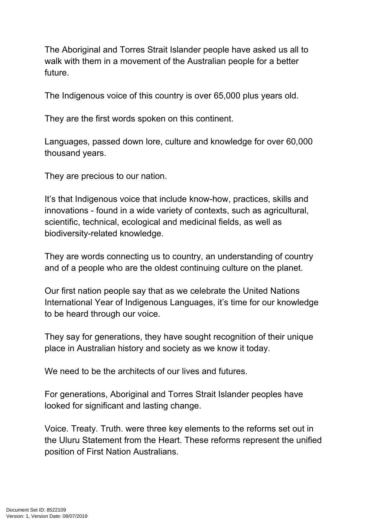The Aboriginal and Torres Strait Islander people have asked us all to walk with them in a movement of the Australian people for a better future.

The Indigenous voice of this country is over 65,000 plus years old.

They are the first words spoken on this continent.

Languages, passed down lore, culture and knowledge for over 60,000 thousand years.

They are precious to our nation.

It's that Indigenous voice that include know-how, practices, skills and innovations - found in a wide variety of contexts, such as agricultural, scientific, technical, ecological and medicinal fields, as well as biodiversity-related knowledge.

They are words connecting us to country, an understanding of country and of a people who are the oldest continuing culture on the planet.

Our first nation people say that as we celebrate the [United Nations](https://en.iyil2019.org/)  [International Year of Indigenous Languages,](https://en.iyil2019.org/) it's time for our knowledge to be heard through our voice.

They say for generations, they have sought recognition of their unique place in Australian history and society as we know it today.

We need to be the architects of our lives and futures.

For generations, Aboriginal and Torres Strait Islander peoples have looked for significant and lasting change.

Voice. Treaty. Truth. were three key elements to the reforms set out in the [Uluru Statement from the Heart.](https://www.1voiceuluru.org/) These reforms represent the unified position of First Nation Australians.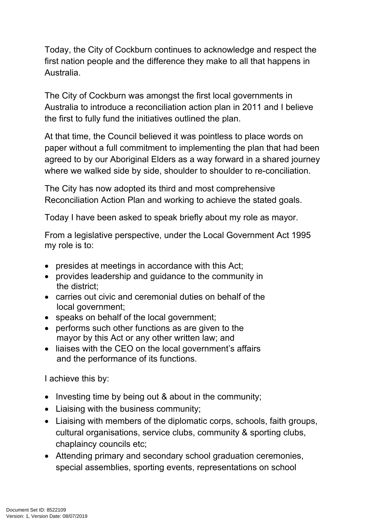Today, the City of Cockburn continues to acknowledge and respect the first nation people and the difference they make to all that happens in Australia.

The City of Cockburn was amongst the first local governments in Australia to introduce a reconciliation action plan in 2011 and I believe the first to fully fund the initiatives outlined the plan.

At that time, the Council believed it was pointless to place words on paper without a full commitment to implementing the plan that had been agreed to by our Aboriginal Elders as a way forward in a shared journey where we walked side by side, shoulder to shoulder to re-conciliation.

The City has now adopted its third and most comprehensive Reconciliation Action Plan and working to achieve the stated goals.

Today I have been asked to speak briefly about my role as mayor.

From a legislative perspective, under the Local Government Act 1995 my role is to:

- presides at meetings in accordance with this Act;
- provides leadership and guidance to the community in the district;
- carries out civic and ceremonial duties on behalf of the local government;
- speaks on behalf of the local government;
- performs such other functions as are given to the mayor by this Act or any other written law; and
- liaises with the CEO on the local government's affairs and the performance of its functions.

I achieve this by:

- $\bullet$  Investing time by being out & about in the community;
- Liaising with the business community;
- Liaising with members of the diplomatic corps, schools, faith groups, cultural organisations, service clubs, community & sporting clubs, chaplaincy councils etc;
- Attending primary and secondary school graduation ceremonies, special assemblies, sporting events, representations on school